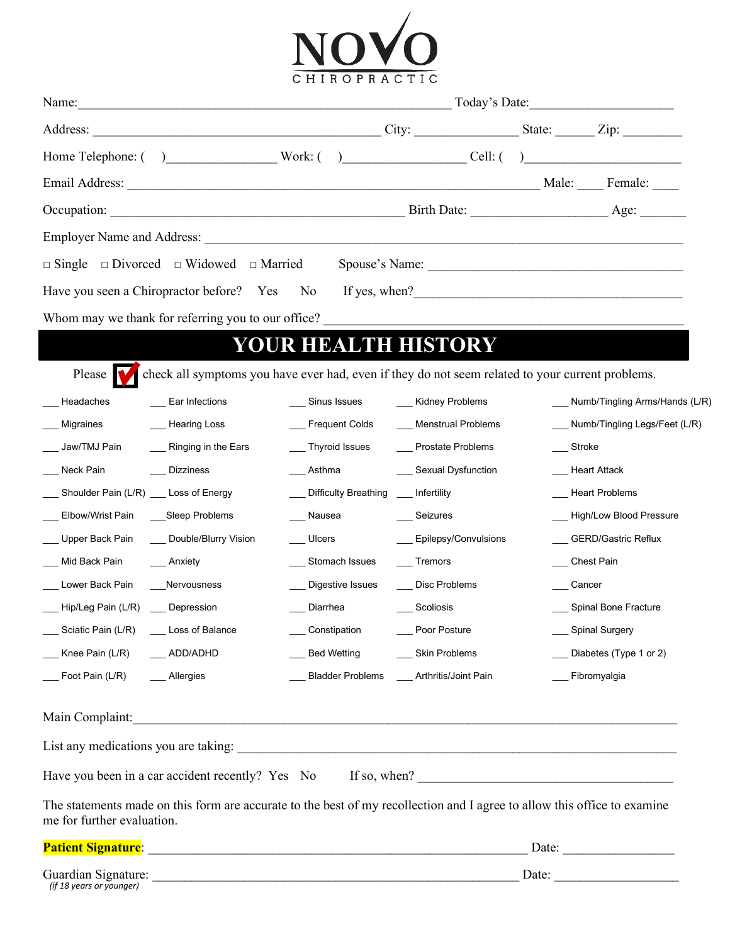

|                                            |                                                                                                                          |               |                                      |                                              |            | Today's Date:                     |
|--------------------------------------------|--------------------------------------------------------------------------------------------------------------------------|---------------|--------------------------------------|----------------------------------------------|------------|-----------------------------------|
|                                            |                                                                                                                          |               |                                      |                                              |            |                                   |
|                                            | Home Telephone: () Work: () Work: () Cell: ()                                                                            |               |                                      |                                              |            |                                   |
|                                            |                                                                                                                          |               |                                      |                                              |            |                                   |
|                                            |                                                                                                                          |               |                                      |                                              |            |                                   |
|                                            |                                                                                                                          |               |                                      |                                              |            |                                   |
|                                            | □ Single □ Divorced □ Widowed □ Married Spouse's Name: _________________________                                         |               |                                      |                                              |            |                                   |
|                                            | Have you seen a Chiropractor before? Yes No If yes, when?<br>1992                                                        |               |                                      |                                              |            |                                   |
|                                            | Whom may we thank for referring you to our office?                                                                       |               |                                      |                                              |            |                                   |
|                                            |                                                                                                                          |               |                                      | <b>YOUR HEALTH HISTORY</b>                   |            |                                   |
|                                            | check all symptoms you have ever had, even if they do not seem related to your current problems.                         |               |                                      |                                              |            |                                   |
| Please V<br>Headaches                      | Ear Infections                                                                                                           | Sinus Issues  |                                      | ___ Kidney Problems                          |            | Numb/Tingling Arms/Hands (L/R)    |
| Migraines                                  | ___ Hearing Loss                                                                                                         |               |                                      | ___ Frequent Colds __ ___ Menstrual Problems |            | ___ Numb/Tingling Legs/Feet (L/R) |
| Jaw/TMJ Pain                               | __ Ringing in the Ears                                                                                                   |               | __ Thyroid Issues                    | __ Prostate Problems                         | ___ Stroke |                                   |
| Neck Pain                                  | ___ Dizziness                                                                                                            |               | Asthma                               | __ Sexual Dysfunction                        |            | __ Heart Attack                   |
| Shoulder Pain (L/R) __ Loss of Energy      |                                                                                                                          |               | Difficulty Breathing ___ Infertility |                                              |            | __ Heart Problems                 |
| Elbow/Wrist Pain ____Sleep Problems        |                                                                                                                          | Nausea        |                                      | Seizures                                     |            | High/Low Blood Pressure           |
| Upper Back Pain _____ Double/Blurry Vision |                                                                                                                          | $\_\_$ Ulcers |                                      | ___ Epilepsy/Convulsions                     |            | GERD/Gastric Reflux               |
| Mid Back Pain                              | Anxiety                                                                                                                  |               | __ Stomach Issues                    | Tremors                                      |            | Chest Pain                        |
| Lower Back Pain ____Nervousness            |                                                                                                                          |               | __ Digestive Issues                  | __ Disc Problems                             |            | Cancer                            |
| _Hip/Leg Pain (L/R) __ Depression          |                                                                                                                          | Diarrhea      |                                      | Scoliosis                                    |            | Spinal Bone Fracture              |
| ___ Sciatic Pain (L/R) ___ Loss of Balance |                                                                                                                          | Constipation  |                                      | Poor Posture                                 |            | __ Spinal Surgery                 |
| ___ Knee Pain (L/R) _____ ADD/ADHD         |                                                                                                                          |               | <b>Bed Wetting</b>                   | <b>Skin Problems</b>                         |            | Diabetes (Type 1 or 2)            |
| Foot Pain (L/R) Allergies                  |                                                                                                                          |               |                                      | Bladder Problems Arthritis/Joint Pain        |            | Fibromyalgia                      |
| Main Complaint:                            |                                                                                                                          |               |                                      |                                              |            |                                   |
|                                            |                                                                                                                          |               |                                      |                                              |            |                                   |
|                                            | Have you been in a car accident recently? Yes No If so, when?                                                            |               |                                      |                                              |            |                                   |
| me for further evaluation.                 | The statements made on this form are accurate to the best of my recollection and I agree to allow this office to examine |               |                                      |                                              |            |                                   |
| <b>Patient Signature:</b>                  | <u> 1989 - Johann John Stein, mars an deutscher Stein († 1958)</u>                                                       |               |                                      |                                              | Date:      |                                   |

*(if 18 years or younger)*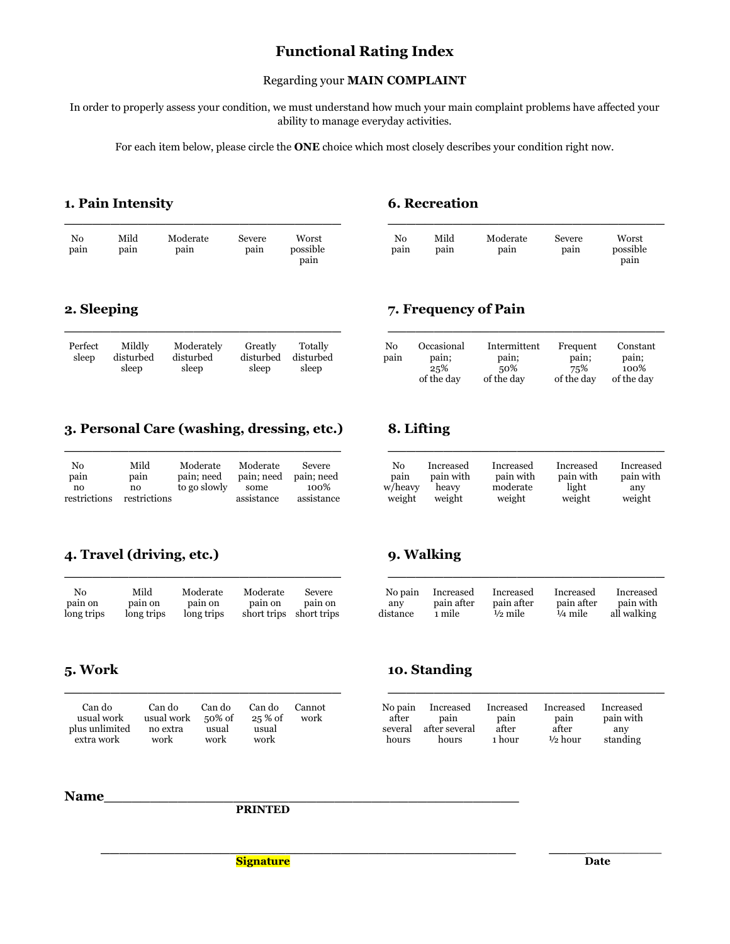## **Functional Rating Index**

### Regarding your **MAIN COMPLAINT**

In order to properly assess your condition, we must understand how much your main complaint problems have affected your ability to manage everyday activities.

For each item below, please circle the **ONE** choice which most closely describes your condition right now.

**\_\_\_\_\_\_\_\_\_\_\_\_\_\_\_\_\_\_\_\_\_\_\_\_\_\_\_\_\_\_ \_\_\_\_\_\_\_\_\_\_\_\_\_\_\_\_\_\_\_\_\_\_\_\_\_\_\_\_\_\_**

**\_\_\_\_\_\_\_\_\_\_\_\_\_\_\_\_\_\_\_\_\_\_\_\_\_\_\_\_\_\_ \_\_\_\_\_\_\_\_\_\_\_\_\_\_\_\_\_\_\_\_\_\_\_\_\_\_\_\_\_\_**

### **1. Pain Intensity 6. Recreation**

| N <sub>0</sub> | Mild | Moderate | Severe | Worst    | No   | Mild | Moderate | Severe | Worst    |
|----------------|------|----------|--------|----------|------|------|----------|--------|----------|
| pain           | pain | pain     | pain   | possible | pain | pain | pain     | pain   | possible |
|                |      |          |        | pain     |      |      |          |        | pain     |

| Perfect<br>sleep | Mildly<br>disturbed<br>sleep | Moderately<br>disturbed<br>sleep | Greatly<br>disturbed<br>sleep | Totally<br>disturbed<br>sleep | No<br>pain | Occasional<br>pain;<br>25% | Intermittent<br>pain;<br>50% | Frequent<br>pain;<br>75% | Constant<br>pain;<br>100% |
|------------------|------------------------------|----------------------------------|-------------------------------|-------------------------------|------------|----------------------------|------------------------------|--------------------------|---------------------------|
|                  |                              |                                  |                               |                               |            | $\sim$ C also a decom-     | $\sim$ C also a d super      |                          | $1.011$ $1.11$            |

### **3. Personal Care (washing, dressing, etc.) 8. Lifting**

| No<br>pain   | Mild<br>pain | Moderate<br>pain; need | Moderate<br>pain; need | Severe<br>pain; need | No<br>pain | Increased<br>pain with | Increased<br>pain with | Increased<br>pain with | Increased<br>pain with |
|--------------|--------------|------------------------|------------------------|----------------------|------------|------------------------|------------------------|------------------------|------------------------|
| no           | no           | to go slowly           | some                   | 100%                 | w/heavy    | heavy                  | moderate               | light                  | any                    |
| restrictions | restrictions |                        | assistance             | assistance           | weight     | weight                 | weight                 | weight                 | weight                 |

| No<br>pain | Mild<br>pain | Moderate<br>pain | Severe<br>pain | Worst<br>possible | No<br>pain | Mild<br>pain | Moderate<br>pain | Severe<br>pain | Worst<br>possible |  |
|------------|--------------|------------------|----------------|-------------------|------------|--------------|------------------|----------------|-------------------|--|
|            |              |                  |                | pain              |            |              |                  |                | pain              |  |

### **2. Sleeping 7. Frequency of Pain**

| Mildly<br>disturbed<br>sleep | Moderately<br>disturbed<br>sleep | Greatly<br>disturbed<br>sleep | Totally<br>disturbed<br>sleep | No<br>pain | Occasional<br>pain;<br>25%<br>of the day | Intermittent<br>pain;<br>50%<br>of the day | Frequent<br>pain;<br>75%<br>of the day | Constant<br>pain;<br>100%<br>of the day |
|------------------------------|----------------------------------|-------------------------------|-------------------------------|------------|------------------------------------------|--------------------------------------------|----------------------------------------|-----------------------------------------|
|                              |                                  |                               |                               |            |                                          |                                            |                                        |                                         |

| No           | Mild         | Moderate     | Moderate   | Severe     | No      | Increased | Increased | Increased | Increased |
|--------------|--------------|--------------|------------|------------|---------|-----------|-----------|-----------|-----------|
| pain         | pain         | pain: need   | pain; need | pain: need | pain    | pain with | pain with | pain with | pain with |
| no           | no           | to go slowly | some       | 100%       | w/heavy | heavy     | moderate  | light     | any       |
| restrictions | restrictions |              | assistance | assistance | weight  | weight    | weight    | weight    | weight    |

### **4. Travel (driving, etc.) 9. Walking**

| No.        | Mild       | Moderate   | Moderate    | Severe      | No pain  | Increased  | Increased          | Increased          | Increased   |
|------------|------------|------------|-------------|-------------|----------|------------|--------------------|--------------------|-------------|
| pain on    | pain on    | pain on    | pain on     | pain on     | any      | pain after | pain after         | pain after         | pain with   |
| long trips | long trips | long trips | short trips | short trips | distance | ∟mile      | $\frac{1}{2}$ mile | $\frac{1}{4}$ mile | all walking |

| No        | Mild       | Moderate   | Moderate                | Severe  | No pain  | Increased  | Increased  | Increased          | Increased   |
|-----------|------------|------------|-------------------------|---------|----------|------------|------------|--------------------|-------------|
| pain on   | pain on    | pain on    | pain on                 | pain on | any      | pain after | pain after | pain after         | pain with   |
| ong trips | long trips | long trips | short trips short trips |         | distance | 1 mile     | ½ mile     | $\frac{1}{4}$ mile | all walking |

| Can do<br>usual work<br>plus unlimited<br>extra work | Can do<br>usual work<br>no extra<br>work | Can do<br>$50\%$ of<br>usual<br>work | Can do<br>$25\%$ of<br>usual<br>work | Cannot<br>work | No pain<br>after<br>several<br>hours | Increased<br>pain<br>after several<br>hours | Increased<br>pain<br>after<br>ı hour | Increased<br>pain<br>after<br>$\frac{1}{2}$ hour | Increased<br>pain with<br>any<br>standing |
|------------------------------------------------------|------------------------------------------|--------------------------------------|--------------------------------------|----------------|--------------------------------------|---------------------------------------------|--------------------------------------|--------------------------------------------------|-------------------------------------------|

### **5. Work 10. Standing**

| Can do<br>usual work<br>plus unlimited | Can do<br>usual work<br>no extra | ^an do<br>50% of<br>usual | Can do<br>$25\%$ of<br>usual | Cannot<br>work | No pain<br>after<br>several | Increased<br>pain<br>after several | Increased<br>pain<br>after | Increased<br>pain<br>after | Increased<br>pain with<br>anv |
|----------------------------------------|----------------------------------|---------------------------|------------------------------|----------------|-----------------------------|------------------------------------|----------------------------|----------------------------|-------------------------------|
| extra work                             | work                             | work                      | work                         |                | hours                       | hours                              | ∟hour                      | ½ hour                     | standing                      |

### Name

**PRINTED**

 **\_\_\_\_\_\_\_\_\_\_\_\_\_\_\_\_\_\_\_\_\_\_\_\_\_\_\_\_\_\_\_\_\_\_\_\_\_\_\_\_\_\_\_\_\_ \_\_\_\_\_\_\_\_\_\_\_\_\_\_ Signature** Date Date **Date**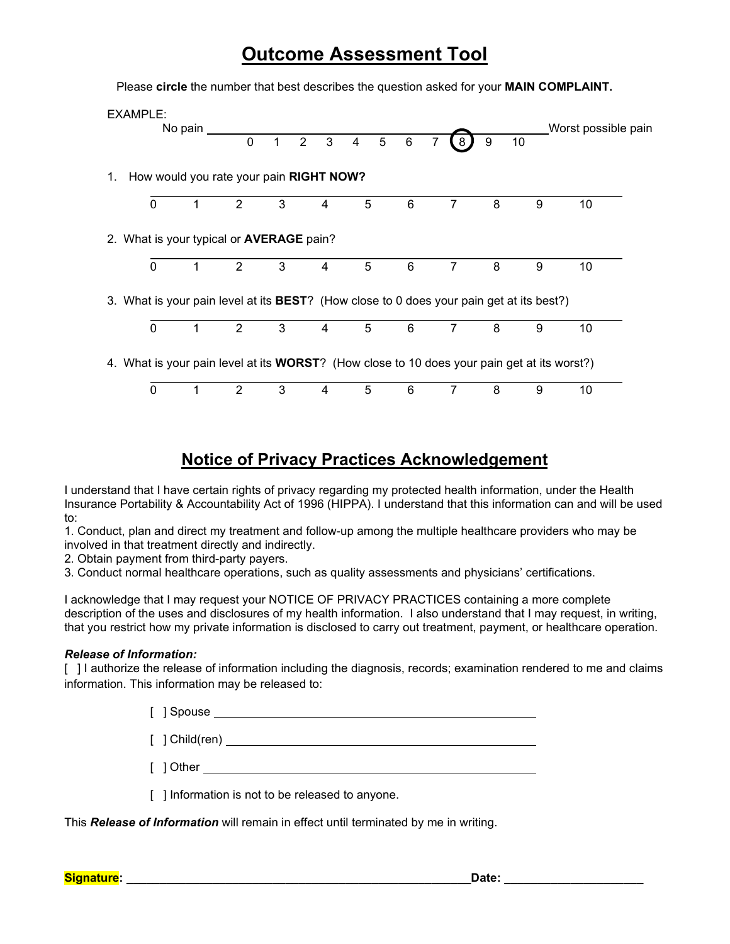# **Outcome Assessment Tool**

Please **circle** the number that best describes the question asked for your **MAIN COMPLAINT.**

|    | EXAMPLE:                                                                                            | No pain | 0              | $\mathbf{1}$ | $\overline{2}$ | $\overline{5}$<br>$3 \quad 4$ | $\,6\,$ | 8              | 9 | 10 | Worst possible pain |  |
|----|-----------------------------------------------------------------------------------------------------|---------|----------------|--------------|----------------|-------------------------------|---------|----------------|---|----|---------------------|--|
| 1. | How would you rate your pain RIGHT NOW?                                                             |         |                |              |                |                               |         |                |   |    |                     |  |
|    | $\mathbf 0$                                                                                         |         | $\overline{2}$ | 3            | 4              | 5                             | 6       | $\overline{7}$ | 8 | 9  | 10                  |  |
|    | 2. What is your typical or <b>AVERAGE</b> pain?                                                     |         |                |              |                |                               |         |                |   |    |                     |  |
|    | 0                                                                                                   |         | 2              | 3            | 4              | 5                             | 6       | 7              | 8 | 9  | 10                  |  |
|    | 3. What is your pain level at its BEST? (How close to 0 does your pain get at its best?)            |         |                |              |                |                               |         |                |   |    |                     |  |
|    | $\mathbf{0}$                                                                                        |         | 2              | 3            | 4              | 5                             | 6       |                | 8 | 9  | 10                  |  |
|    | 4. What is your pain level at its <b>WORST</b> ? (How close to 10 does your pain get at its worst?) |         |                |              |                |                               |         |                |   |    |                     |  |
|    | 0                                                                                                   |         | 2              | 3            | 4              | 5                             | 6       |                | 8 | 9  | 10                  |  |

## **Notice of Privacy Practices Acknowledgement**

I understand that I have certain rights of privacy regarding my protected health information, under the Health Insurance Portability & Accountability Act of 1996 (HIPPA). I understand that this information can and will be used to:

1. Conduct, plan and direct my treatment and follow-up among the multiple healthcare providers who may be involved in that treatment directly and indirectly.

2. Obtain payment from third-party payers.

3. Conduct normal healthcare operations, such as quality assessments and physicians' certifications.

I acknowledge that I may request your NOTICE OF PRIVACY PRACTICES containing a more complete description of the uses and disclosures of my health information. I also understand that I may request, in writing, that you restrict how my private information is disclosed to carry out treatment, payment, or healthcare operation.

### *Release of Information:*

[ ] I authorize the release of information including the diagnosis, records; examination rendered to me and claims information. This information may be released to:

|  | [ 1 Spouse |  |  |  |  |  |  |  |  |  |  |  |  |
|--|------------|--|--|--|--|--|--|--|--|--|--|--|--|
|  |            |  |  |  |  |  |  |  |  |  |  |  |  |

[ ] Child(ren)

[ ] Other

[ ] Information is not to be released to anyone.

This *Release of Information* will remain in effect until terminated by me in writing.